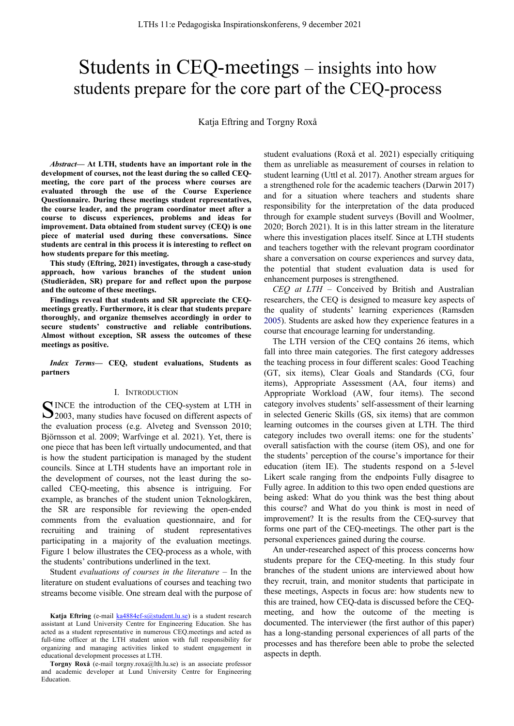# Students in CEQ-meetings – insights into how students prepare for the core part of the CEQ-process

Katja Eftring and Torgny Roxå

*Abstract***— At LTH, students have an important role in the development of courses, not the least during the so called CEQmeeting, the core part of the process where courses are evaluated through the use of the Course Experience Questionnaire. During these meetings student representatives, the course leader, and the program coordinator meet after a course to discuss experiences, problems and ideas for improvement. Data obtained from student survey (CEQ) is one piece of material used during these conversations. Since students are central in this process it is interesting to reflect on how students prepare for this meeting.**

**This study (Eftring, 2021) investigates, through a case-study approach, how various branches of the student union (Studieråden, SR) prepare for and reflect upon the purpose and the outcome of these meetings.**

**Findings reveal that students and SR appreciate the CEQmeetings greatly. Furthermore, it is clear that students prepare thoroughly, and organize themselves accordingly in order to secure students' constructive and reliable contributions. Almost without exception, SR assess the outcomes of these meetings as positive.**

*Index Terms***— CEQ, student evaluations, Students as partners**

## I. INTRODUCTION

INCE the introduction of the CEQ-system at LTH in SINCE the introduction of the CEQ-system at LTH in 22003, many studies have focused on different aspects of the evaluation process (e.g. Alveteg and Svensson 2010; Björnsson et al. 2009; Warfvinge et al. 2021). Yet, there is one piece that has been left virtually undocumented, and that is how the student participation is managed by the student councils. Since at LTH students have an important role in the development of courses, not the least during the socalled CEQ-meeting, this absence is intriguing. For example, as branches of the student union Teknologkåren, the SR are responsible for reviewing the open-ended comments from the evaluation questionnaire, and for recruiting and training of student representatives participating in a majority of the evaluation meetings. Figure 1 below illustrates the CEQ-process as a whole, with the students' contributions underlined in the text.

Student *evaluations of courses in the literature –* In the literature on student evaluations of courses and teaching two streams become visible. One stream deal with the purpose of student evaluations (Roxå et al. 2021) especially critiquing them as unreliable as measurement of courses in relation to student learning (Uttl et al. 2017). Another stream argues for a strengthened role for the academic teachers (Darwin 2017) and for a situation where teachers and students share responsibility for the interpretation of the data produced through for example student surveys (Bovill and Woolmer, 2020; Borch 2021). It is in this latter stream in the literature where this investigation places itself. Since at LTH students and teachers together with the relevant program coordinator share a conversation on course experiences and survey data, the potential that student evaluation data is used for enhancement purposes is strengthened.

*CEQ at LTH –* Conceived by British and Australian researchers, the CEQ is designed to measure key aspects of the quality of students' learning experiences (Ramsden 2005). Students are asked how they experience features in a course that encourage learning for understanding.

The LTH version of the CEQ contains 26 items, which fall into three main categories. The first category addresses the teaching process in four different scales: Good Teaching (GT, six items), Clear Goals and Standards (CG, four items), Appropriate Assessment (AA, four items) and Appropriate Workload (AW, four items). The second category involves students' self-assessment of their learning in selected Generic Skills (GS, six items) that are common learning outcomes in the courses given at LTH. The third category includes two overall items: one for the students' overall satisfaction with the course (item OS), and one for the students' perception of the course's importance for their education (item IE). The students respond on a 5-level Likert scale ranging from the endpoints Fully disagree to Fully agree. In addition to this two open ended questions are being asked: What do you think was the best thing about this course? and What do you think is most in need of improvement? It is the results from the CEQ-survey that forms one part of the CEQ-meetings. The other part is the personal experiences gained during the course.

An under-researched aspect of this process concerns how students prepare for the CEQ-meeting. In this study four branches of the student unions are interviewed about how they recruit, train, and monitor students that participate in these meetings, Aspects in focus are: how students new to this are trained, how CEQ-data is discussed before the CEQmeeting, and how the outcome of the meeting is documented. The interviewer (the first author of this paper) has a long-standing personal experiences of all parts of the processes and has therefore been able to probe the selected aspects in depth.

Katja Eftring (e-mail ka4884ef-s@student.lu.se) is a student research assistant at Lund University Centre for Engineering Education. She has acted as a student representative in numerous CEQ.meetings and acted as full-time officer at the LTH student union with full responsibility for organizing and managing activities linked to student engagement in educational development processes at LTH.

**Torgny Roxå** (e-mail torgny.roxa@lth.lu.se) is an associate professor and academic developer at Lund University Centre for Engineering Education.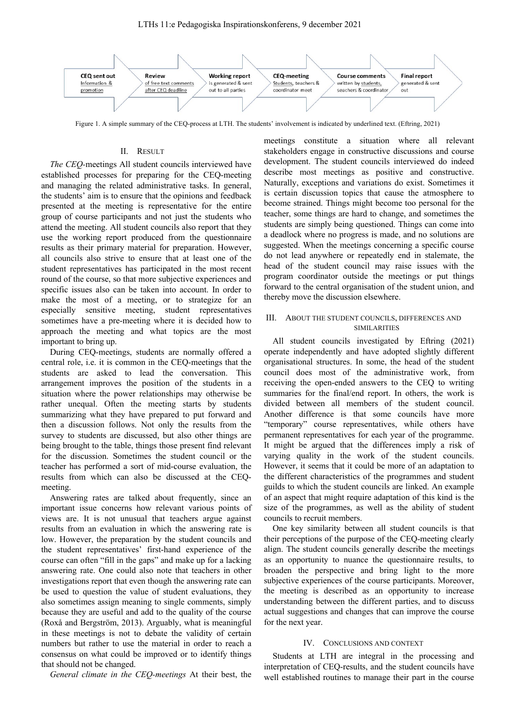

Figure 1. A simple summary of the CEQ-process at LTH. The students' involvement is indicated by underlined text. (Eftring, 2021)

## II. RESULT

*The CEQ-*meetings All student councils interviewed have established processes for preparing for the CEQ-meeting and managing the related administrative tasks. In general, the students' aim is to ensure that the opinions and feedback presented at the meeting is representative for the entire group of course participants and not just the students who attend the meeting. All student councils also report that they use the working report produced from the questionnaire results as their primary material for preparation. However, all councils also strive to ensure that at least one of the student representatives has participated in the most recent round of the course, so that more subjective experiences and specific issues also can be taken into account. In order to make the most of a meeting, or to strategize for an especially sensitive meeting, student representatives sometimes have a pre-meeting where it is decided how to approach the meeting and what topics are the most important to bring up.

During CEQ-meetings, students are normally offered a central role, i.e. it is common in the CEQ-meetings that the students are asked to lead the conversation. This arrangement improves the position of the students in a situation where the power relationships may otherwise be rather unequal. Often the meeting starts by students summarizing what they have prepared to put forward and then a discussion follows. Not only the results from the survey to students are discussed, but also other things are being brought to the table, things those present find relevant for the discussion. Sometimes the student council or the teacher has performed a sort of mid-course evaluation, the results from which can also be discussed at the CEQmeeting.

Answering rates are talked about frequently, since an important issue concerns how relevant various points of views are. It is not unusual that teachers argue against results from an evaluation in which the answering rate is low. However, the preparation by the student councils and the student representatives' first-hand experience of the course can often "fill in the gaps" and make up for a lacking answering rate. One could also note that teachers in other investigations report that even though the answering rate can be used to question the value of student evaluations, they also sometimes assign meaning to single comments, simply because they are useful and add to the quality of the course (Roxå and Bergström, 2013). Arguably, what is meaningful in these meetings is not to debate the validity of certain numbers but rather to use the material in order to reach a consensus on what could be improved or to identify things that should not be changed.

*General climate in the CEQ-meetings* At their best, the

meetings constitute a situation where all relevant stakeholders engage in constructive discussions and course development. The student councils interviewed do indeed describe most meetings as positive and constructive. Naturally, exceptions and variations do exist. Sometimes it is certain discussion topics that cause the atmosphere to become strained. Things might become too personal for the teacher, some things are hard to change, and sometimes the students are simply being questioned. Things can come into a deadlock where no progress is made, and no solutions are suggested. When the meetings concerning a specific course do not lead anywhere or repeatedly end in stalemate, the head of the student council may raise issues with the program coordinator outside the meetings or put things forward to the central organisation of the student union, and thereby move the discussion elsewhere.

## III. ABOUT THE STUDENT COUNCILS, DIFFERENCES AND SIMILARITIES

All student councils investigated by Eftring (2021) operate independently and have adopted slightly different organisational structures. In some, the head of the student council does most of the administrative work, from receiving the open-ended answers to the CEQ to writing summaries for the final/end report. In others, the work is divided between all members of the student council. Another difference is that some councils have more "temporary" course representatives, while others have permanent representatives for each year of the programme. It might be argued that the differences imply a risk of varying quality in the work of the student councils. However, it seems that it could be more of an adaptation to the different characteristics of the programmes and student guilds to which the student councils are linked. An example of an aspect that might require adaptation of this kind is the size of the programmes, as well as the ability of student councils to recruit members.

One key similarity between all student councils is that their perceptions of the purpose of the CEQ-meeting clearly align. The student councils generally describe the meetings as an opportunity to nuance the questionnaire results, to broaden the perspective and bring light to the more subjective experiences of the course participants. Moreover, the meeting is described as an opportunity to increase understanding between the different parties, and to discuss actual suggestions and changes that can improve the course for the next year.

## IV. CONCLUSIONS AND CONTEXT

Students at LTH are integral in the processing and interpretation of CEQ-results, and the student councils have well established routines to manage their part in the course